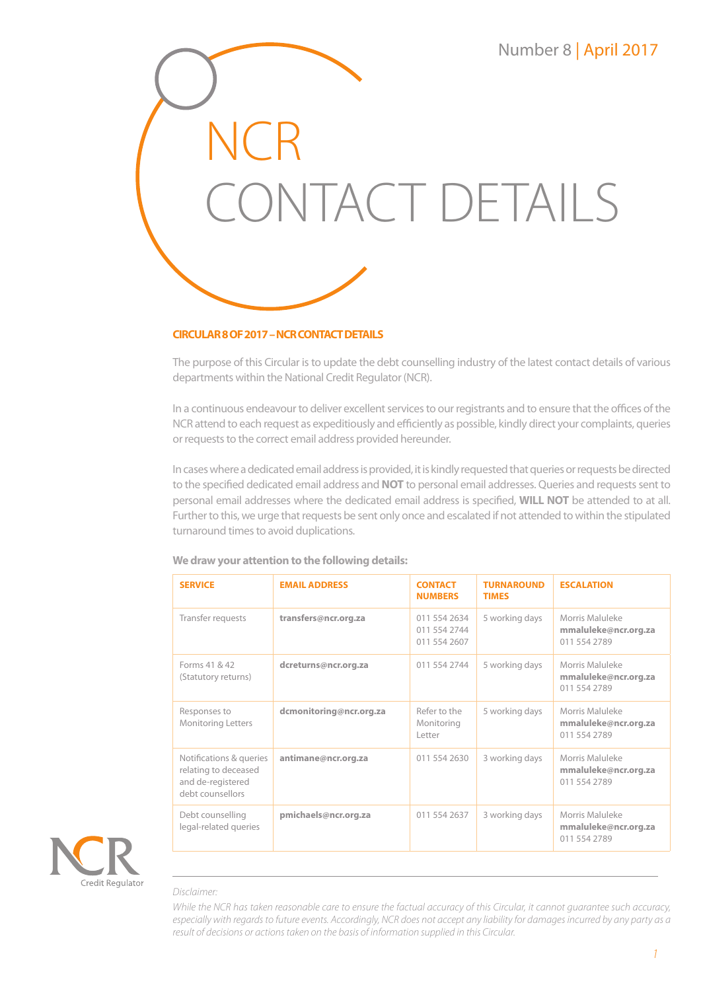

### **CIRCULAR 8 OF 2017 – NCR CONTACT DETAILS**

The purpose of this Circular is to update the debt counselling industry of the latest contact details of various departments within the National Credit Regulator (NCR).

In a continuous endeavour to deliver excellent services to our registrants and to ensure that the offices of the NCR attend to each request as expeditiously and efficiently as possible, kindly direct your complaints, queries or requests to the correct email address provided hereunder.

In cases where a dedicated email address is provided, it is kindly requested that queries or requests be directed to the specified dedicated email address and **NOT** to personal email addresses. Queries and requests sent to personal email addresses where the dedicated email address is specified, **WILL NOT** be attended to at all. Further to this, we urge that requests be sent only once and escalated if not attended to within the stipulated turnaround times to avoid duplications.

| <b>SERVICE</b>                                                                           | <b>EMAIL ADDRESS</b>    | <b>CONTACT</b><br><b>NUMBERS</b>             | <b>TURNAROUND</b><br><b>TIMES</b> | <b>ESCALATION</b>                                       |
|------------------------------------------------------------------------------------------|-------------------------|----------------------------------------------|-----------------------------------|---------------------------------------------------------|
| Transfer requests                                                                        | transfers@ncr.org.za    | 011 554 2634<br>011 554 2744<br>011 554 2607 | 5 working days                    | Morris Maluleke<br>mmaluleke@ncr.org.za<br>011 554 2789 |
| Forms 41 & 42<br>(Statutory returns)                                                     | dcreturns@ncr.org.za    | 011 554 2744                                 | 5 working days                    | Morris Maluleke<br>mmaluleke@ncr.org.za<br>011 554 2789 |
| Responses to<br>Monitoring Letters                                                       | dcmonitoring@ncr.org.za | Refer to the<br>Monitoring<br>Letter         | 5 working days                    | Morris Maluleke<br>mmaluleke@ncr.org.za<br>011 554 2789 |
| Notifications & queries<br>relating to deceased<br>and de-registered<br>debt counsellors | antimane@ncr.org.za     | 011 554 2630                                 | 3 working days                    | Morris Maluleke<br>mmaluleke@ncr.org.za<br>011 554 2789 |
| Debt counselling<br>legal-related queries                                                | pmichaels@ncr.org.za    | 011 554 2637                                 | 3 working days                    | Morris Maluleke<br>mmaluleke@ncr.org.za<br>011 554 2789 |

### **We draw your attention to the following details:**



### *Disclaimer:*

*While the NCR has taken reasonable care to ensure the factual accuracy of this Circular, it cannot guarantee such accuracy, especially with regards to future events. Accordingly, NCR does not accept any liability for damages incurred by any party as a result of decisions or actions taken on the basis of information supplied in this Circular.*